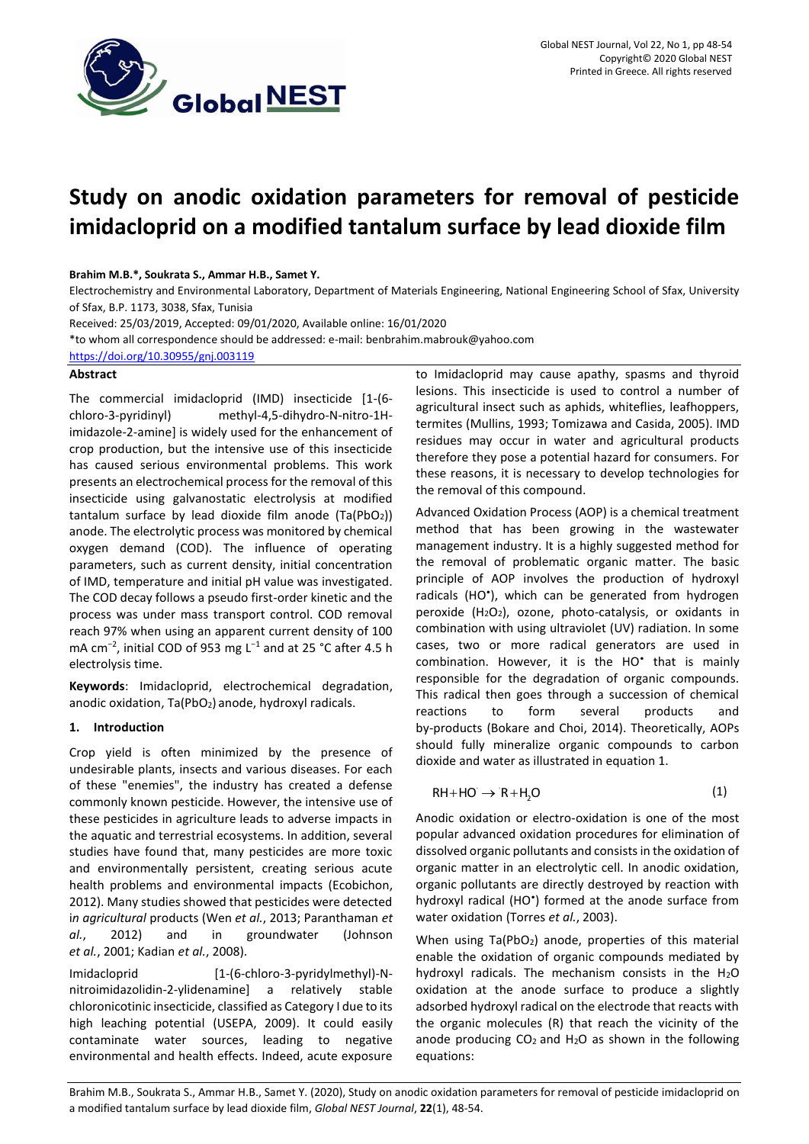

# **Study on anodic oxidation parameters for removal of pesticide imidacloprid on a modified tantalum surface by lead dioxide film**

# **Brahim M.B.\*, Soukrata S., Ammar H.B., Samet Y.**

Electrochemistry and Environmental Laboratory, Department of Materials Engineering, National Engineering School of Sfax, University of Sfax, B.P. 1173, 3038, Sfax, Tunisia

Received: 25/03/2019, Accepted: 09/01/2020, Available online: 16/01/2020

\*to whom all correspondence should be addressed: e-mail[: benbrahim.mabrouk@yahoo.com](mailto:benbrahim.mabrouk@yahoo.com)

<https://doi.org/10.30955/gnj.003119>

## **Abstract**

The commercial imidacloprid (IMD) insecticide [1-(6 chloro-3-pyridinyl) methyl-4,5-dihydro-N-nitro-1Himidazole-2-amine] is widely used for the enhancement of crop production, but the intensive use of this insecticide has caused serious environmental problems. This work presents an electrochemical process for the removal of this insecticide using galvanostatic electrolysis at modified tantalum surface by lead dioxide film anode  $(Ta(PbO<sub>2</sub>))$ anode. The electrolytic process was monitored by chemical oxygen demand (COD). The influence of operating parameters, such as current density, initial concentration of IMD, temperature and initial pH value was investigated. The COD decay follows a pseudo first-order kinetic and the process was under mass transport control. COD removal reach 97% when using an apparent current density of 100 mA cm<sup>-2</sup>, initial COD of 953 mg L<sup>-1</sup> and at 25 °C after 4.5 h electrolysis time.

**Keywords**: Imidacloprid, electrochemical degradation, anodic oxidation, Ta(PbO<sub>2</sub>) anode, hydroxyl radicals.

# **1. Introduction**

Crop yield is often minimized by the presence of undesirable plants, insects and various diseases. For each of these "enemies", the industry has created a defense commonly known pesticide. However, the intensive use of these pesticides in agriculture leads to adverse impacts in the aquatic and terrestrial ecosystems. In addition, several studies have found that, many pesticides are more toxic and environmentally persistent, creating serious acute health problems and environmental impacts (Ecobichon, 2012). Many studies showed that pesticides were detected i*n agricultural* products (Wen *et al.*, 2013; Paranthaman *et al.*, 2012) and in groundwater (Johnson *et al.*, 2001; Kadian *et al.*, 2008).

Imidacloprid [1-(6-chloro-3-pyridylmethyl)-Nnitroimidazolidin-2-ylidenamine] a relatively stable chloronicotinic insecticide, classified as Category I due to its high leaching potential (USEPA, 2009). It could easily contaminate water sources, leading to negative environmental and health effects. Indeed, acute exposure to Imidacloprid may cause apathy, spasms and thyroid lesions. This insecticide is used to control a number of agricultural insect such as aphids, whiteflies, leafhoppers, termites (Mullins, 1993; Tomizawa and Casida, 2005). IMD residues may occur in water and agricultural products therefore they pose a potential hazard for consumers. For these reasons, it is necessary to develop technologies for the removal of this compound.

Advanced Oxidation Process (AOP) is a chemical treatment method that has been growing in the wastewater management industry. It is a highly suggested method for the removal of problematic organic matter. The basic principle of AOP involves the production of hydroxyl radicals (HO<sup>\*</sup>), which can be generated from hydrogen peroxide  $(H_2O_2)$ , ozone, photo-catalysis, or oxidants in combination with using ultraviolet (UV) radiation. In some cases, two or more radical generators are used in combination. However, it is the HO<sup>\*</sup> that is mainly responsible for the degradation of organic compounds. This radical then goes through a succession of chemical reactions to form several products and by-products (Bokare and Choi, 2014). Theoretically, AOPs should fully mineralize organic compounds to carbon dioxide and water as illustrated in equation 1.

$$
RH + HO \rightarrow R + H_2O \tag{1}
$$

Anodic oxidation or electro-oxidation is one of the most popular advanced oxidation procedures for elimination of dissolved organic pollutants and consists in the oxidation of organic matter in an electrolytic cell. In anodic oxidation, organic pollutants are directly destroyed by reaction with hydroxyl radical (HO<sup>\*</sup>) formed at the anode surface from water oxidation (Torres *et al.*, 2003).

When using  $Ta(PbO<sub>2</sub>)$  anode, properties of this material enable the oxidation of organic compounds mediated by hydroxyl radicals. The mechanism consists in the  $H_2O$ oxidation at the anode surface to produce a slightly adsorbed hydroxyl radical on the electrode that reacts with the organic molecules (R) that reach the vicinity of the anode producing  $CO<sub>2</sub>$  and H<sub>2</sub>O as shown in the following equations:

Brahim M.B., Soukrata S., Ammar H.B., Samet Y. (2020), Study on anodic oxidation parameters for removal of pesticide imidacloprid on a modified tantalum surface by lead dioxide film, *Global NEST Journal*, **22**(1), 48-54.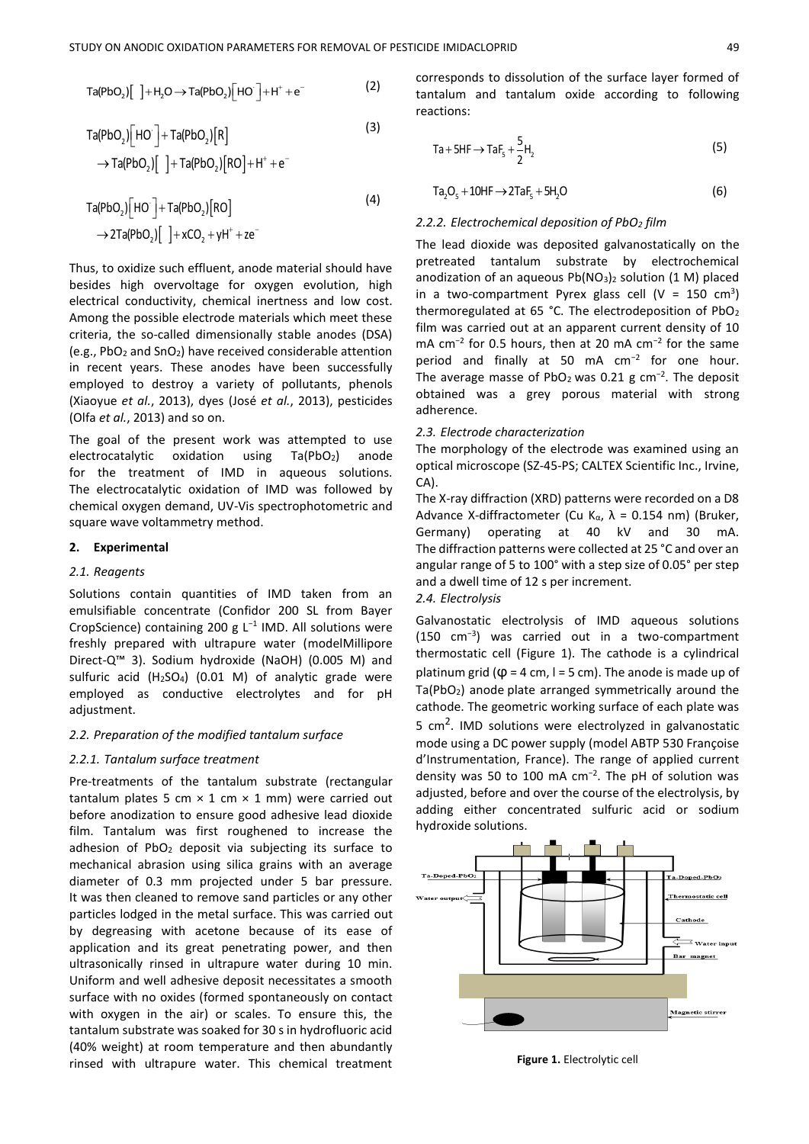$$
Ta(PbO2)[ \ ]+H2O \rightarrow Ta(PbO2)[HO] + H+ + e-
$$
 (2)

$$
Ta(PbO2)[HO-] + Ta(PbO2)[R]
$$
\n
$$
\rightarrow Ta(PbO2)[{} + Ta(PbO2)[RO] + H+ + e-
$$
\n(3)

$$
Ta(PbO2)[HO]+ Ta(PbO2)[RO]
$$
\n
$$
\rightarrow 2Ta(PbO2)[]+xCO2 + yH+ + ze-
$$
\n(4)

Thus, to oxidize such effluent, anode material should have besides high overvoltage for oxygen evolution, high electrical conductivity, chemical inertness and low cost. Among the possible electrode materials which meet these criteria, the so-called dimensionally stable anodes (DSA) (e.g., PbO<sub>2</sub> and SnO<sub>2</sub>) have received considerable attention in recent years. These anodes have been successfully employed to destroy a variety of pollutants, phenols (Xiaoyue *et al.*, 2013), dyes (José *et al.*, 2013), pesticides (Olfa *et al.*, 2013) and so on.

The goal of the present work was attempted to use electrocatalytic oxidation using Ta(PbO<sub>2</sub>) anode for the treatment of IMD in aqueous solutions. The electrocatalytic oxidation of IMD was followed by chemical oxygen demand, UV-Vis spectrophotometric and square wave voltammetry method.

## **2. Experimental**

# *2.1. Reagents*

Solutions contain quantities of IMD taken from an emulsifiable concentrate (Confidor 200 SL from Bayer CropScience) containing 200 g L<sup>−</sup><sup>1</sup> IMD. All solutions were freshly prepared with ultrapure water (modelMillipore Direct-Q™ 3). Sodium hydroxide (NaOH) (0.005 M) and sulfuric acid (H2SO4) (0.01 M) of analytic grade were employed as conductive electrolytes and for pH adiustment.

## *2.2. Preparation of the modified tantalum surface*

#### *2.2.1. Tantalum surface treatment*

Pre-treatments of the tantalum substrate (rectangular tantalum plates 5 cm  $\times$  1 cm  $\times$  1 mm) were carried out before anodization to ensure good adhesive lead dioxide film. Tantalum was first roughened to increase the adhesion of PbO<sub>2</sub> deposit via subjecting its surface to mechanical abrasion using silica grains with an average diameter of 0.3 mm projected under 5 bar pressure. It was then cleaned to remove sand particles or any other particles lodged in the metal surface. This was carried out by degreasing with acetone because of its ease of application and its great penetrating power, and then ultrasonically rinsed in ultrapure water during 10 min. Uniform and well adhesive deposit necessitates a smooth surface with no oxides (formed spontaneously on contact with oxygen in the air) or scales. To ensure this, the tantalum substrate was soaked for 30 s in hydrofluoric acid (40% weight) at room temperature and then abundantly rinsed with ultrapure water. This chemical treatment

corresponds to dissolution of the surface layer formed of tantalum and tantalum oxide according to following reactions:

$$
Ta + 5HF \rightarrow TaF5 + \frac{5}{2}H2
$$
 (5)

$$
Ta_2O_5 + 10HF \rightarrow 2TaF_5 + 5H_2O
$$
 (6)

## *2.2.2. Electrochemical deposition of PbO<sup>2</sup> film*

The lead dioxide was deposited galvanostatically on the pretreated tantalum substrate by electrochemical anodization of an aqueous  $Pb(NO<sub>3</sub>)<sub>2</sub>$  solution (1 M) placed in a two-compartment Pyrex glass cell ( $V = 150$  cm<sup>3</sup>) thermoregulated at 65 °C. The electrodeposition of PbO<sup>2</sup> film was carried out at an apparent current density of 10 mA cm<sup>-2</sup> for 0.5 hours, then at 20 mA cm<sup>-2</sup> for the same period and finally at 50 mA cm<sup>-2</sup> for one hour. The average masse of PbO<sub>2</sub> was 0.21 g cm<sup>-2</sup>. The deposit obtained was a grey porous material with strong adherence.

#### *2.3. Electrode characterization*

The morphology of the electrode was examined using an optical microscope (SZ-45-PS; CALTEX Scientific Inc., Irvine, CA).

The X-ray diffraction (XRD) patterns were recorded on a D8 Advance X-diffractometer (Cu Kα,  $\lambda$  = 0.154 nm) (Bruker, Germany) operating at 40 kV and 30 mA. The diffraction patterns were collected at 25 °C and over an angular range of 5 to 100° with a step size of 0.05° per step and a dwell time of 12 s per increment.

#### *2.4. Electrolysis*

Galvanostatic electrolysis of IMD aqueous solutions (150 cm<sup>−</sup><sup>3</sup> ) was carried out in a two-compartment thermostatic cell (Figure 1). The cathode is a cylindrical platinum grid ( $\varphi$  = 4 cm, l = 5 cm). The anode is made up of Ta(PbO2) anode plate arranged symmetrically around the cathode. The geometric working surface of each plate was 5 cm<sup>2</sup>. IMD solutions were electrolyzed in galvanostatic mode using a DC power supply (model ABTP 530 Françoise d'Instrumentation, France). The range of applied current density was 50 to 100 mA cm<sup>−</sup><sup>2</sup> . The pH of solution was adjusted, before and over the course of the electrolysis, by adding either concentrated sulfuric acid or sodium hydroxide solutions.



**Figure 1.** Electrolytic cell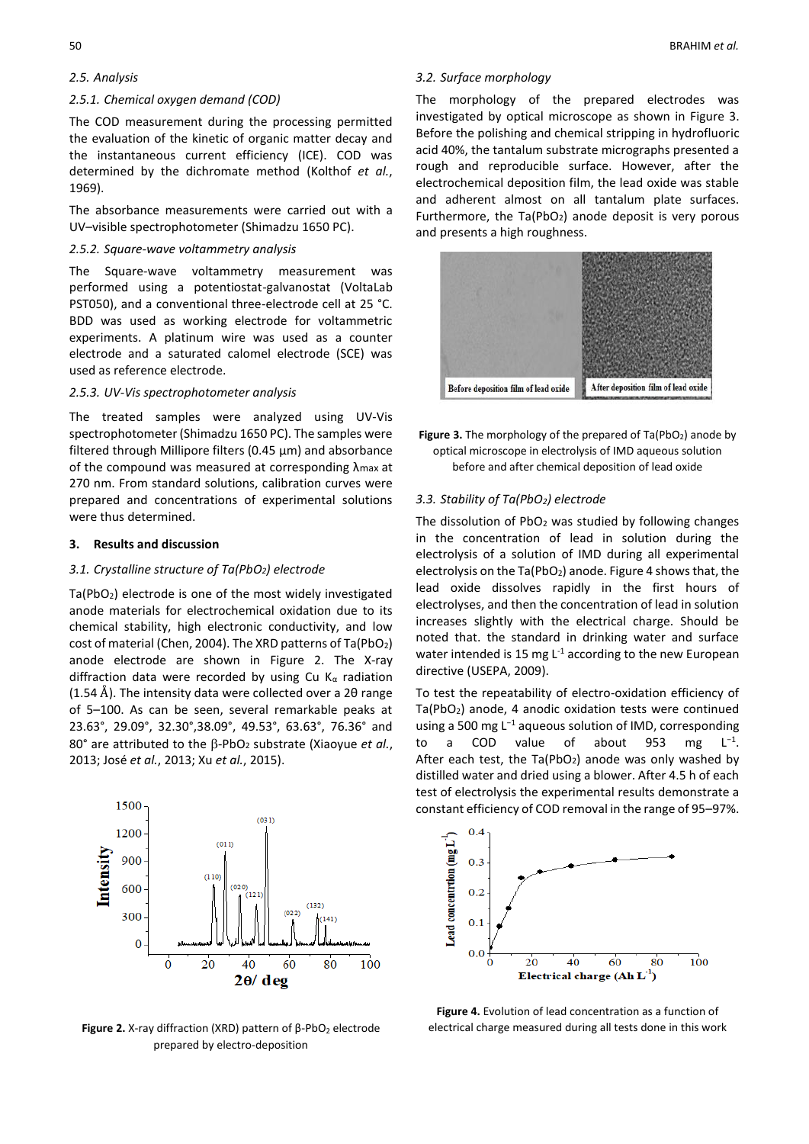# *2.5. Analysis*

# *2.5.1. Chemical oxygen demand (COD)*

The COD measurement during the processing permitted the evaluation of the kinetic of organic matter decay and the instantaneous current efficiency (ICE). COD was determined by the dichromate method (Kolthof *et al.*, 1969).

The absorbance measurements were carried out with a UV–visible spectrophotometer (Shimadzu 1650 PC).

## *2.5.2. Square-wave voltammetry analysis*

The Square-wave voltammetry measurement was performed using a potentiostat-galvanostat (VoltaLab PST050), and a conventional three-electrode cell at 25 °C. BDD was used as working electrode for voltammetric experiments. A platinum wire was used as a counter electrode and a saturated calomel electrode (SCE) was used as reference electrode.

# *2.5.3. UV-Vis spectrophotometer analysis*

The treated samples were analyzed using UV-Vis spectrophotometer (Shimadzu 1650 PC). The samples were filtered through Millipore filters (0.45 μm) and absorbance of the compound was measured at corresponding λmax at 270 nm. From standard solutions, calibration curves were prepared and concentrations of experimental solutions were thus determined.

## **3. Results and discussion**

## *3.1. Crystalline structure of Ta(PbO2) electrode*

Ta(PbO<sub>2</sub>) electrode is one of the most widely investigated anode materials for electrochemical oxidation due to its chemical stability, high electronic conductivity, and low cost of material (Chen, 2004). The XRD patterns of  $Ta(PbO<sub>2</sub>)$ anode electrode are shown in Figure 2. The X-ray diffraction data were recorded by using Cu  $K_{\alpha}$  radiation (1.54 Å). The intensity data were collected over a 20 range of 5–100. As can be seen, several remarkable peaks at 23.63°, 29.09°, 32.30°,38.09°, 49.53°, 63.63°, 76.36° and 80° are attributed to the B-PbO<sub>2</sub> substrate (Xiaoyue *et al.*, 2013; José *et al.*, 2013; Xu *et al.*, 2015).



**Figure 2.** X-ray diffraction (XRD) pattern of β-PbO<sub>2</sub> electrode prepared by electro-deposition

#### *3.2. Surface morphology*

The morphology of the prepared electrodes was investigated by optical microscope as shown in Figure 3. Before the polishing and chemical stripping in hydrofluoric acid 40%, the tantalum substrate micrographs presented a rough and reproducible surface. However, after the electrochemical deposition film, the lead oxide was stable and adherent almost on all tantalum plate surfaces. Furthermore, the  $Ta(PbO<sub>2</sub>)$  anode deposit is very porous and presents a high roughness.



**Figure 3.** The morphology of the prepared of Ta(PbO<sub>2</sub>) anode by optical microscope in electrolysis of IMD aqueous solution before and after chemical deposition of lead oxide

# *3.3. Stability of Ta(PbO2) electrode*

The dissolution of  $PbO<sub>2</sub>$  was studied by following changes in the concentration of lead in solution during the electrolysis of a solution of IMD during all experimental electrolysis on the Ta(PbO2) anode. Figure 4 shows that, the lead oxide dissolves rapidly in the first hours of electrolyses, and then the concentration of lead in solution increases slightly with the electrical charge. Should be noted that. the standard in drinking water and surface water intended is 15 mg  $L^{-1}$  according to the new European directive (USEPA, 2009).

To test the repeatability of electro-oxidation efficiency of  $Ta(PbO<sub>2</sub>)$  anode, 4 anodic oxidation tests were continued using a 500 mg L<sup>−</sup><sup>1</sup> aqueous solution of IMD, corresponding to a COD value of about 953 mg  $L^{-1}$ . After each test, the  $Ta(PbO_2)$  anode was only washed by distilled water and dried using a blower. After 4.5 h of each test of electrolysis the experimental results demonstrate a constant efficiency of COD removal in the range of 95–97%.



**Figure 4.** Evolution of lead concentration as a function of electrical charge measured during all tests done in this work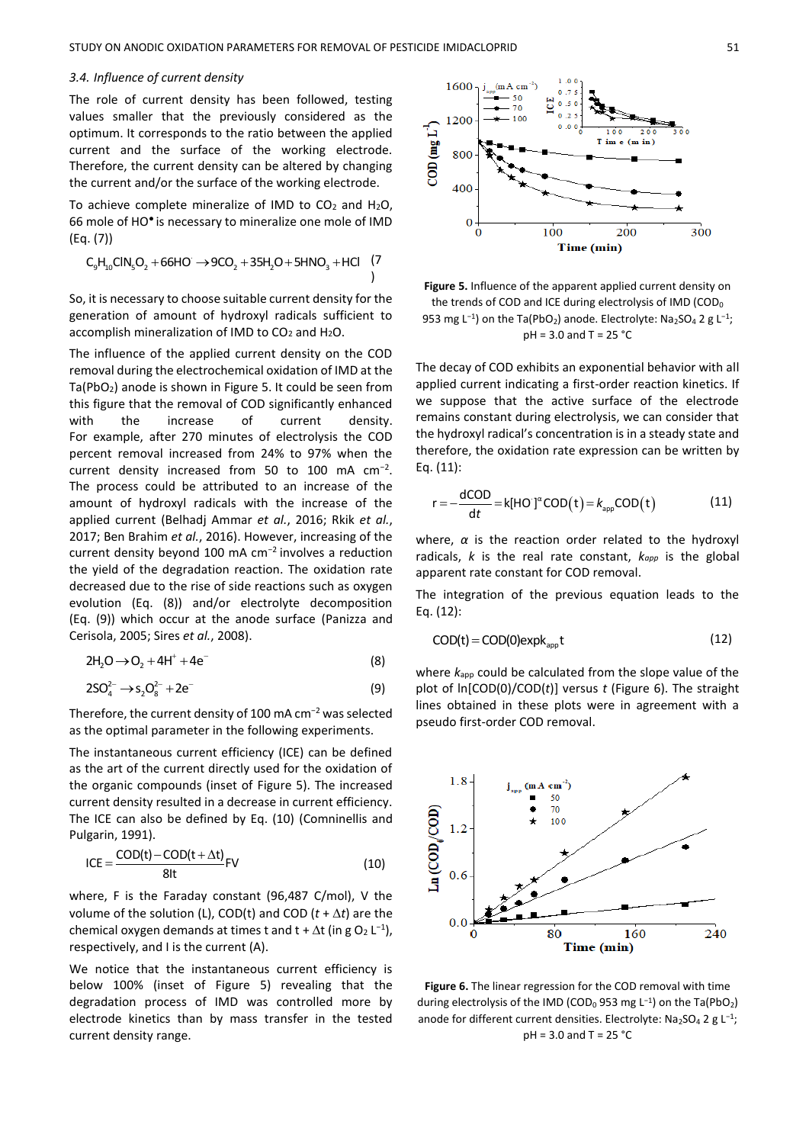#### *3.4. Influence of current density*

The role of current density has been followed, testing values smaller that the previously considered as the optimum. It corresponds to the ratio between the applied current and the surface of the working electrode. Therefore, the current density can be altered by changing the current and/or the surface of the working electrode.

To achieve complete mineralize of IMD to  $CO<sub>2</sub>$  and  $H<sub>2</sub>O$ , 66 mole of HO● is necessary to mineralize one mole of IMD (Eq. (7))

 C H ClN O 66HO 9CO 35H O 5HNO HCl 9 10 5 2 2 2 3 + → + + + (7 )

So, it is necessary to choose suitable current density for the generation of amount of hydroxyl radicals sufficient to accomplish mineralization of IMD to  $CO<sub>2</sub>$  and  $H<sub>2</sub>O$ .

The influence of the applied current density on the COD removal during the electrochemical oxidation of IMD at the Ta(PbO2) anode is shown in Figure 5. It could be seen from this figure that the removal of COD significantly enhanced with the increase of current density. For example, after 270 minutes of electrolysis the COD percent removal increased from 24% to 97% when the current density increased from 50 to 100 mA  $cm^{-2}$ . The process could be attributed to an increase of the amount of hydroxyl radicals with the increase of the applied current (Belhadj Ammar *et al.*, 2016; Rkik *et al.*, 2017; Ben Brahim *et al.*, 2016). However, increasing of the current density beyond 100 mA cm<sup>−</sup><sup>2</sup>involves a reduction the yield of the degradation reaction. The oxidation rate decreased due to the rise of side reactions such as oxygen evolution (Eq. (8)) and/or electrolyte decomposition (Eq. (9)) which occur at the anode surface (Panizza and Cerisola, 2005; Sires *et al.*, 2008).

$$
2H_2O \rightarrow O_2 + 4H^+ + 4e^-
$$
 (8)

$$
2SO_4^{2-} \to s_2O_8^{2-} + 2e^-
$$
 (9)

Therefore, the current density of 100 mA cm<sup>−</sup><sup>2</sup> was selected as the optimal parameter in the following experiments.

The instantaneous current efficiency (ICE) can be defined as the art of the current directly used for the oxidation of the organic compounds (inset of Figure 5). The increased current density resulted in a decrease in current efficiency. The ICE can also be defined by Eq. (10) (Comninellis and Pulgarin, 1991).

$$
ICE = \frac{COD(t) - COD(t + \Delta t)}{8lt} FV
$$
 (10)

where, F is the Faraday constant (96,487 C/mol), V the volume of the solution (L), COD(t) and COD ( $t + \Delta t$ ) are the chemical oxygen demands at times t and  $t + \Delta t$  (in g O<sub>2</sub> L<sup>-1</sup>), respectively, and I is the current (A).

We notice that the instantaneous current efficiency is below 100% (inset of Figure 5) revealing that the degradation process of IMD was controlled more by electrode kinetics than by mass transfer in the tested current density range.



**Figure 5.** Influence of the apparent applied current density on the trends of COD and ICE during electrolysis of IMD (COD<sub>0</sub> 953 mg L<sup>-1</sup>) on the Ta(PbO<sub>2</sub>) anode. Electrolyte: Na<sub>2</sub>SO<sub>4</sub> 2 g L<sup>-1</sup>; pH = 3.0 and T = 25 °C

The decay of COD exhibits an exponential behavior with all applied current indicating a first-order reaction kinetics. If we suppose that the active surface of the electrode remains constant during electrolysis, we can consider that the hydroxyl radical's concentration is in a steady state and therefore, the oxidation rate expression can be written by Eq. (11):

$$
r = -\frac{dCOD}{dt} = k[HO']^{\alpha}COD(t) = k_{app}COD(t)
$$
 (11)

where, *α* is the reaction order related to the hydroxyl radicals, *k* is the real rate constant, *kapp* is the global apparent rate constant for COD removal.

The integration of the previous equation leads to the Eq. (12):

$$
COD(t) = COD(0) \exp k_{app} t \tag{12}
$$

where *k*app could be calculated from the slope value of the plot of ln[COD(0)/COD(*t*)] versus *t* (Figure 6). The straight lines obtained in these plots were in agreement with a pseudo first-order COD removal.



**Figure 6.** The linear regression for the COD removal with time during electrolysis of the IMD (COD<sub>0</sub>953 mg L<sup>-1</sup>) on the Ta(PbO<sub>2</sub>) anode for different current densities. Electrolyte: Na2SO<sub>4</sub> 2 g L<sup>-1</sup>; pH = 3.0 and T = 25 °C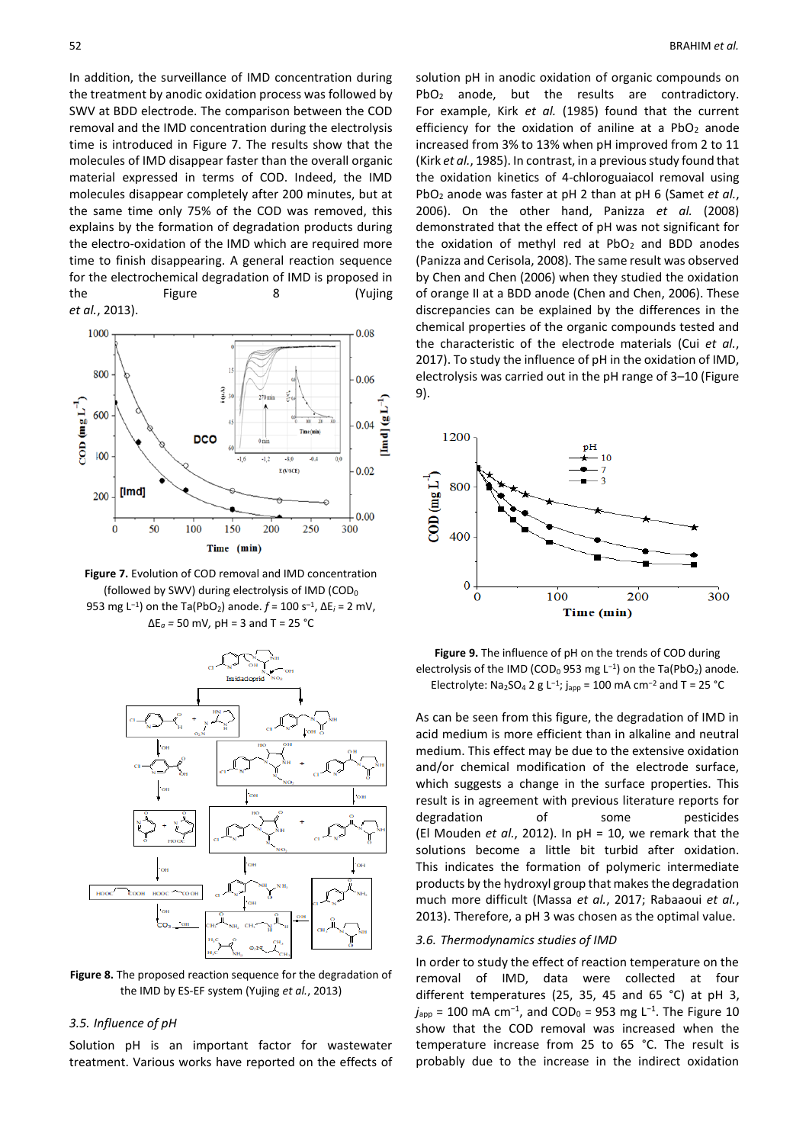In addition, the surveillance of IMD concentration during the treatment by anodic oxidation process was followed by SWV at BDD electrode. The comparison between the COD removal and the IMD concentration during the electrolysis time is introduced in Figure 7. The results show that the molecules of IMD disappear faster than the overall organic material expressed in terms of COD. Indeed, the IMD molecules disappear completely after 200 minutes, but at the same time only 75% of the COD was removed, this explains by the formation of degradation products during the electro-oxidation of the IMD which are required more time to finish disappearing. A general reaction sequence for the electrochemical degradation of IMD is proposed in the Figure 8 (Yujing *et al.*, 2013).



**Figure 7.** Evolution of COD removal and IMD concentration (followed by SWV) during electrolysis of IMD ( $\text{COD}_0$ 953 mg L<sup>−</sup><sup>1</sup> ) on the Ta(PbO2) anode. *f* = 100 s–<sup>1</sup> , ∆E*<sup>i</sup>* = 2 mV, ∆E*<sup>a</sup> =* 50 mV*,* pH = 3 and T = 25 °C



**Figure 8.** The proposed reaction sequence for the degradation of the IMD by ES-EF system (Yujing *et al.*, 2013)

#### *3.5. Influence of pH*

Solution pH is an important factor for wastewater treatment. Various works have reported on the effects of solution pH in anodic oxidation of organic compounds on PbO<sub>2</sub> anode, but the results are contradictory. For example, Kirk *et al.* (1985) found that the current efficiency for the oxidation of aniline at a  $PbO<sub>2</sub>$  anode increased from 3% to 13% when pH improved from 2 to 11 (Kirk *et al.*, 1985). In contrast, in a previous study found that the oxidation kinetics of 4-chloroguaiacol removal using PbO<sup>2</sup> anode was faster at pH 2 than at pH 6 (Samet *et al.*, 2006). On the other hand, Panizza *et al.* (2008) demonstrated that the effect of pH was not significant for the oxidation of methyl red at  $PbO<sub>2</sub>$  and BDD anodes (Panizza and Cerisola, 2008). The same result was observed by Chen and Chen (2006) when they studied the oxidation of orange II at a BDD anode (Chen and Chen, 2006). These discrepancies can be explained by the differences in the chemical properties of the organic compounds tested and the characteristic of the electrode materials (Cui *et al.*, 2017). To study the influence of pH in the oxidation of IMD, electrolysis was carried out in the pH range of 3–10 (Figure 9).



**Figure 9.** The influence of pH on the trends of COD during electrolysis of the IMD (COD<sub>0</sub> 953 mg L<sup>-1</sup>) on the Ta(PbO<sub>2</sub>) anode. Electrolyte: Na<sub>2</sub>SO<sub>4</sub> 2 g L<sup>-1</sup>;  $j_{app}$  = 100 mA cm<sup>-2</sup> and T = 25 °C

As can be seen from this figure, the degradation of IMD in acid medium is more efficient than in alkaline and neutral medium. This effect may be due to the extensive oxidation and/or chemical modification of the electrode surface, which suggests a change in the surface properties. This result is in agreement with previous literature reports for degradation of some pesticides (El Mouden *et al.*, 2012). In pH = 10, we remark that the solutions become a little bit turbid after oxidation. This indicates the formation of polymeric intermediate products by the hydroxyl group that makes the degradation much more difficult (Massa *et al.*, 2017; Rabaaoui *et al.*, 2013). Therefore, a pH 3 was chosen as the optimal value.

#### *3.6. Thermodynamics studies of IMD*

In order to study the effect of reaction temperature on the removal of IMD, data were collected at four different temperatures (25, 35, 45 and 65 °C) at pH 3, *j*<sub>app</sub> = 100 mA cm<sup>-1</sup>, and COD<sub>0</sub> = 953 mg L<sup>-1</sup>. The Figure 10 show that the COD removal was increased when the temperature increase from 25 to 65 °C. The result is probably due to the increase in the indirect oxidation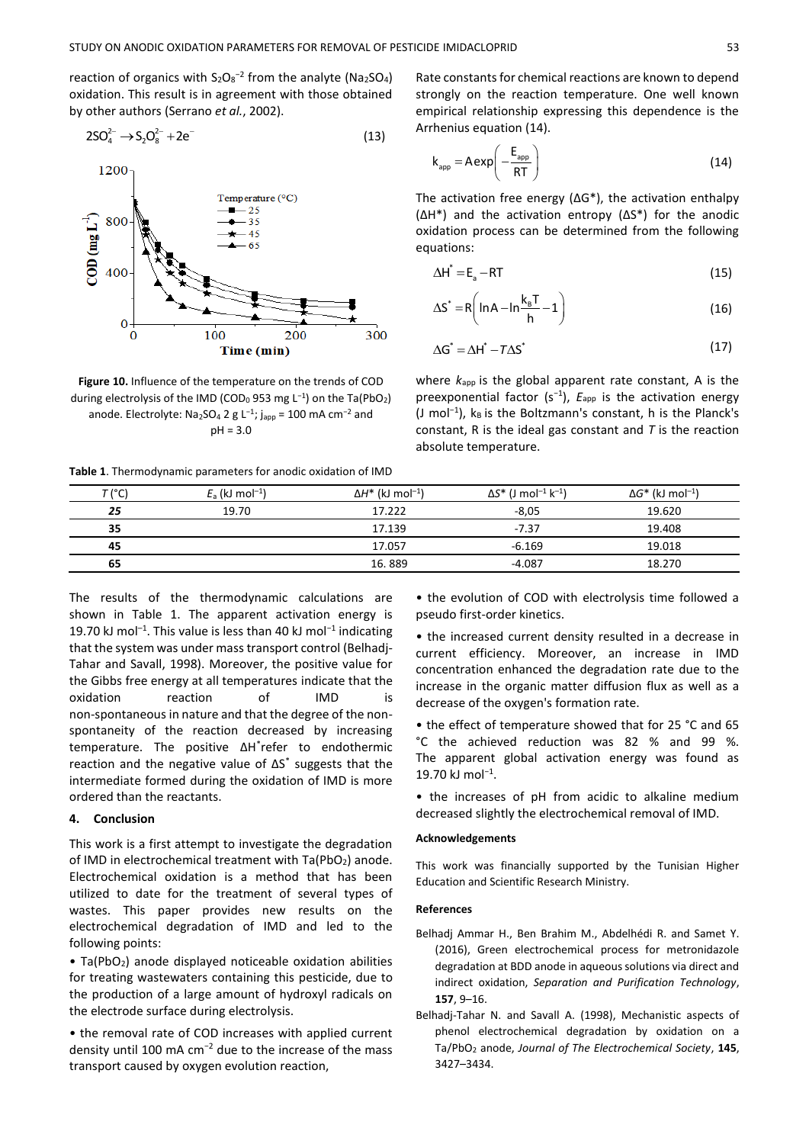reaction of organics with  $S_2O_8^{-2}$  from the analyte (Na2SO<sub>4</sub>) oxidation. This result is in agreement with those obtained by other authors (Serrano *et al.*, 2002).

$$
2SO_4^{2-} \to S_2O_8^{2-} + 2e^-
$$
 (13)



**Figure 10.** Influence of the temperature on the trends of COD during electrolysis of the IMD (COD<sub>0</sub>953 mg L<sup>-1</sup>) on the Ta(PbO<sub>2</sub>) anode. Electrolyte: Na<sub>2</sub>SO<sub>4</sub> 2 g L<sup>-1</sup>; j<sub>app</sub> = 100 mA cm<sup>-2</sup> and pH = 3.0

**Table 1**. Thermodynamic parameters for anodic oxidation of IMD

Rate constants for chemical reactions are known to depend strongly on the reaction temperature. One well known empirical relationship expressing this dependence is the Arrhenius equation (14).

$$
k_{app} = A \exp\left(-\frac{E_{app}}{RT}\right)
$$
 (14)

The activation free energy (∆G\*), the activation enthalpy (∆H\*) and the activation entropy (∆S\*) for the anodic oxidation process can be determined from the following equations:

$$
\Delta H^* = E_a - RT \tag{15}
$$

$$
\Delta S^* = R \left( \ln A - \ln \frac{k_\text{B} T}{h} - 1 \right) \tag{16}
$$

$$
\Delta G^* = \Delta H^* - T \Delta S^* \tag{17}
$$

where  $k_{\text{apo}}$  is the global apparent rate constant, A is the preexponential factor (s<sup>-1</sup>), E<sub>app</sub> is the activation energy (J mol<sup>-1</sup>), k<sub>B</sub> is the Boltzmann's constant, h is the Planck's constant, R is the ideal gas constant and *T* is the reaction absolute temperature.

| T (°C) | $E_a$ (kJ mol <sup>-1</sup> ) | $\Delta H^*$ (kJ mol <sup>-1</sup> ) | $\Delta S^*$ (J mol <sup>-1</sup> k <sup>-1</sup> ) | $\Delta G^*$ (kJ mol <sup>-1</sup> ) |
|--------|-------------------------------|--------------------------------------|-----------------------------------------------------|--------------------------------------|
| 25     | 19.70                         | 17.222                               | $-8,05$                                             | 19.620                               |
| 35     |                               | 17.139                               | $-7.37$                                             | 19.408                               |
| 45     |                               | 17.057                               | $-6.169$                                            | 19.018                               |
| 65     |                               | 16.889                               | $-4.087$                                            | 18.270                               |

The results of the thermodynamic calculations are shown in Table 1. The apparent activation energy is 19.70 kJ mol<sup>-1</sup>. This value is less than 40 kJ mol<sup>-1</sup> indicating that the system was under mass transport control (Belhadj-Tahar and Savall, 1998). Moreover, the positive value for the Gibbs free energy at all temperatures indicate that the oxidation reaction of IMD is non-spontaneous in nature and that the degree of the nonspontaneity of the reaction decreased by increasing temperature. The positive ΔH\* refer to endothermic reaction and the negative value of ΔS\* suggests that the intermediate formed during the oxidation of IMD is more ordered than the reactants.

#### **4. Conclusion**

This work is a first attempt to investigate the degradation of IMD in electrochemical treatment with Ta(PbO2) anode. Electrochemical oxidation is a method that has been utilized to date for the treatment of several types of wastes. This paper provides new results on the electrochemical degradation of IMD and led to the following points:

• Ta(PbO2) anode displayed noticeable oxidation abilities for treating wastewaters containing this pesticide, due to the production of a large amount of hydroxyl radicals on the electrode surface during electrolysis.

• the removal rate of COD increases with applied current density until 100 mA cm<sup>−</sup><sup>2</sup> due to the increase of the mass transport caused by oxygen evolution reaction,

• the evolution of COD with electrolysis time followed a pseudo first-order kinetics.

• the increased current density resulted in a decrease in current efficiency. Moreover, an increase in IMD concentration enhanced the degradation rate due to the increase in the organic matter diffusion flux as well as a decrease of the oxygen's formation rate.

• the effect of temperature showed that for 25 °C and 65 °C the achieved reduction was 82 % and 99 %. The apparent global activation energy was found as 19.70 kJ mol<sup>-1</sup>.

• the increases of pH from acidic to alkaline medium decreased slightly the electrochemical removal of IMD.

## **Acknowledgements**

This work was financially supported by the Tunisian Higher Education and Scientific Research Ministry.

# **References**

- Belhadj Ammar H., Ben Brahim M., Abdelhédi R. and Samet Y. (2016), Green electrochemical process for metronidazole degradation at BDD anode in aqueous solutions via direct and indirect oxidation, *Separation and Purification Technology*, **157**, 9–16.
- Belhadj-Tahar N. and Savall A. (1998), Mechanistic aspects of phenol electrochemical degradation by oxidation on a Ta/PbO<sup>2</sup> anode, *Journal of The Electrochemical Society*, **145**, 3427–3434.